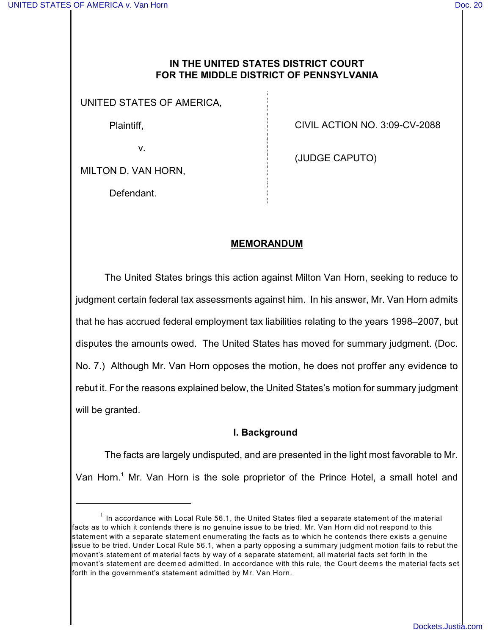### **IN THE UNITED STATES DISTRICT COURT FOR THE MIDDLE DISTRICT OF PENNSYLVANIA**

UNITED STATES OF AMERICA,

Plaintiff,

v.

CIVIL ACTION NO. 3:09-CV-2088

(JUDGE CAPUTO)

MILTON D. VAN HORN,

Defendant.

# **MEMORANDUM**

The United States brings this action against Milton Van Horn, seeking to reduce to judgment certain federal tax assessments against him. In his answer, Mr. Van Horn admits that he has accrued federal employment tax liabilities relating to the years 1998–2007, but disputes the amounts owed. The United States has moved for summary judgment. (Doc. No. 7.) Although Mr. Van Horn opposes the motion, he does not proffer any evidence to rebut it. For the reasons explained below, the United States's motion for summary judgment will be granted.

### **I. Background**

The facts are largely undisputed, and are presented in the light most favorable to Mr. Van Horn.<sup>1</sup> Mr. Van Horn is the sole proprietor of the Prince Hotel, a small hotel and

 $^1$  In accordance with Local Rule 56.1, the United States filed a separate statement of the material facts as to which it contends there is no genuine issue to be tried. Mr. Van Horn did not respond to this statement with a separate statement enumerating the facts as to which he contends there exists a genuine issue to be tried. Under Local Rule 56.1, when a party opposing a summary judgment motion fails to rebut the movant's statement of material facts by way of a separate statement, all material facts set forth in the movant's statement are deemed admitted. In accordance with this rule, the Court deems the material facts set forth in the government's statement admitted by Mr. Van Horn.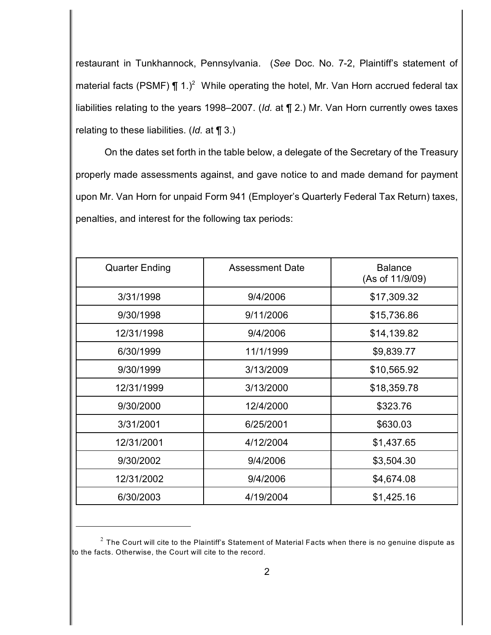restaurant in Tunkhannock, Pennsylvania. (*See* Doc. No. 7-2, Plaintiff's statement of material facts (PSMF)  $\P$  1.)<sup>2</sup> While operating the hotel, Mr. Van Horn accrued federal tax liabilities relating to the years 1998–2007. (*Id.* at ¶ 2.) Mr. Van Horn currently owes taxes relating to these liabilities. (*Id.* at ¶ 3.)

On the dates set forth in the table below, a delegate of the Secretary of the Treasury properly made assessments against, and gave notice to and made demand for payment upon Mr. Van Horn for unpaid Form 941 (Employer's Quarterly Federal Tax Return) taxes, penalties, and interest for the following tax periods:

| <b>Quarter Ending</b> | <b>Assessment Date</b> | <b>Balance</b><br>(As of 11/9/09) |
|-----------------------|------------------------|-----------------------------------|
| 3/31/1998             | 9/4/2006               | \$17,309.32                       |
| 9/30/1998             | 9/11/2006              | \$15,736.86                       |
| 12/31/1998            | 9/4/2006               | \$14,139.82                       |
| 6/30/1999             | 11/1/1999              | \$9,839.77                        |
| 9/30/1999             | 3/13/2009              | \$10,565.92                       |
| 12/31/1999            | 3/13/2000              | \$18,359.78                       |
| 9/30/2000             | 12/4/2000              | \$323.76                          |
| 3/31/2001             | 6/25/2001              | \$630.03                          |
| 12/31/2001            | 4/12/2004              | \$1,437.65                        |
| 9/30/2002             | 9/4/2006               | \$3,504.30                        |
| 12/31/2002            | 9/4/2006               | \$4,674.08                        |
| 6/30/2003             | 4/19/2004              | \$1,425.16                        |

 $^{\rm 2}$  The Court will cite to the Plaintiff's Statement of Material Facts when there is no genuine dispute as to the facts. Otherwise, the Court will cite to the record.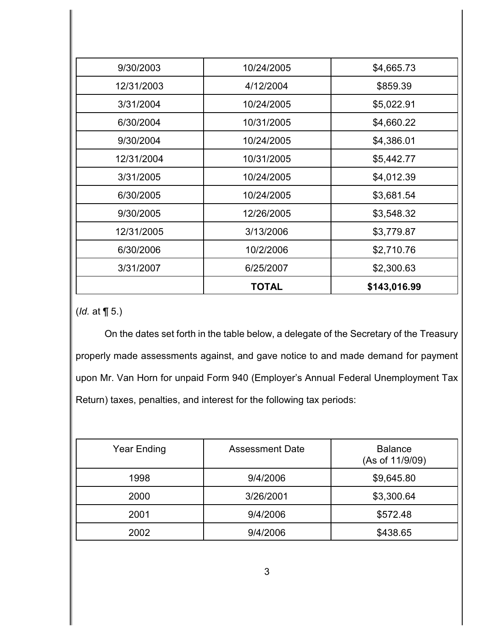|            | <b>TOTAL</b> | \$143,016.99 |
|------------|--------------|--------------|
| 3/31/2007  | 6/25/2007    | \$2,300.63   |
| 6/30/2006  | 10/2/2006    | \$2,710.76   |
| 12/31/2005 | 3/13/2006    | \$3,779.87   |
| 9/30/2005  | 12/26/2005   | \$3,548.32   |
| 6/30/2005  | 10/24/2005   | \$3,681.54   |
| 3/31/2005  | 10/24/2005   | \$4,012.39   |
| 12/31/2004 | 10/31/2005   | \$5,442.77   |
| 9/30/2004  | 10/24/2005   | \$4,386.01   |
| 6/30/2004  | 10/31/2005   | \$4,660.22   |
| 3/31/2004  | 10/24/2005   | \$5,022.91   |
| 12/31/2003 | 4/12/2004    | \$859.39     |
| 9/30/2003  | 10/24/2005   | \$4,665.73   |

(*Id.* at ¶ 5.)

On the dates set forth in the table below, a delegate of the Secretary of the Treasury properly made assessments against, and gave notice to and made demand for payment upon Mr. Van Horn for unpaid Form 940 (Employer's Annual Federal Unemployment Tax Return) taxes, penalties, and interest for the following tax periods:

| Year Ending | <b>Assessment Date</b> | <b>Balance</b><br>(As of 11/9/09) |
|-------------|------------------------|-----------------------------------|
| 1998        | 9/4/2006               | \$9,645.80                        |
| 2000        | 3/26/2001              | \$3,300.64                        |
| 2001        | 9/4/2006               | \$572.48                          |
| 2002        | 9/4/2006               | \$438.65                          |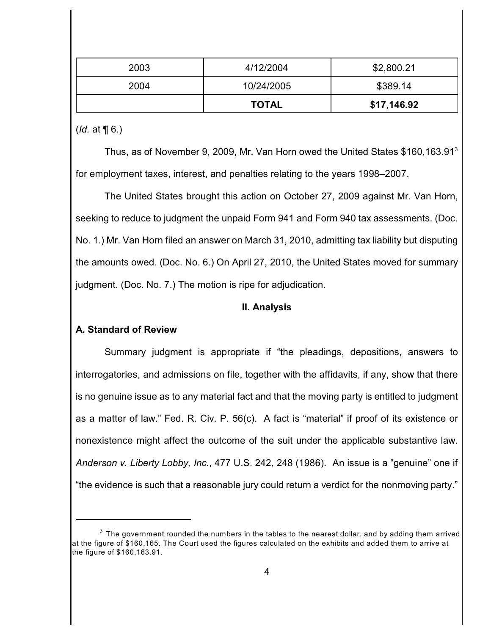|      | <b>TOTAL</b> | \$17,146.92 |
|------|--------------|-------------|
| 2004 | 10/24/2005   | \$389.14    |
| 2003 | 4/12/2004    | \$2,800.21  |

(*Id.* at ¶ 6.)

Thus, as of November 9, 2009, Mr. Van Horn owed the United States \$160,163.91<sup>3</sup> for employment taxes, interest, and penalties relating to the years 1998–2007.

The United States brought this action on October 27, 2009 against Mr. Van Horn, seeking to reduce to judgment the unpaid Form 941 and Form 940 tax assessments. (Doc. No. 1.) Mr. Van Horn filed an answer on March 31, 2010, admitting tax liability but disputing the amounts owed. (Doc. No. 6.) On April 27, 2010, the United States moved for summary judgment. (Doc. No. 7.) The motion is ripe for adjudication.

#### **II. Analysis**

### **A. Standard of Review**

Summary judgment is appropriate if "the pleadings, depositions, answers to interrogatories, and admissions on file, together with the affidavits, if any, show that there is no genuine issue as to any material fact and that the moving party is entitled to judgment as a matter of law." Fed. R. Civ. P. 56(c). A fact is "material" if proof of its existence or nonexistence might affect the outcome of the suit under the applicable substantive law. *Anderson v. Liberty Lobby, Inc.*, 477 U.S. 242, 248 (1986). An issue is a "genuine" one if "the evidence is such that a reasonable jury could return a verdict for the nonmoving party."

 $^3$  The government rounded the numbers in the tables to the nearest dollar, and by adding them arrived at the figure of \$160,165. The Court used the figures calculated on the exhibits and added them to arrive at the figure of \$160,163.91.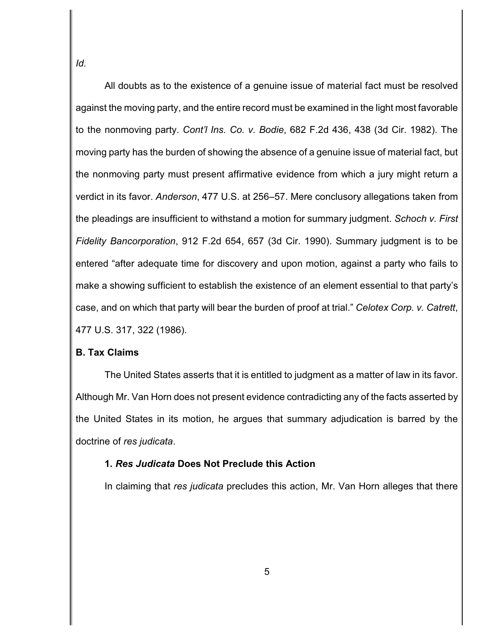*Id.*

All doubts as to the existence of a genuine issue of material fact must be resolved against the moving party, and the entire record must be examined in the light most favorable to the nonmoving party. *Cont'l Ins. Co. v. Bodie*, 682 F.2d 436, 438 (3d Cir. 1982). The moving party has the burden of showing the absence of a genuine issue of material fact, but the nonmoving party must present affirmative evidence from which a jury might return a verdict in its favor. *Anderson*, 477 U.S. at 256–57. Mere conclusory allegations taken from the pleadings are insufficient to withstand a motion for summary judgment. *Schoch v. First Fidelity Bancorporation*, 912 F.2d 654, 657 (3d Cir. 1990). Summary judgment is to be entered "after adequate time for discovery and upon motion, against a party who fails to make a showing sufficient to establish the existence of an element essential to that party's case, and on which that party will bear the burden of proof at trial." *Celotex Corp. v. Catrett*, 477 U.S. 317, 322 (1986).

## **B. Tax Claims**

The United States asserts that it is entitled to judgment as a matter of law in its favor. Although Mr. Van Horn does not present evidence contradicting any of the facts asserted by the United States in its motion, he argues that summary adjudication is barred by the doctrine of *res judicata*.

### **1.** *Res Judicata* **Does Not Preclude this Action**

In claiming that *res judicata* precludes this action, Mr. Van Horn alleges that there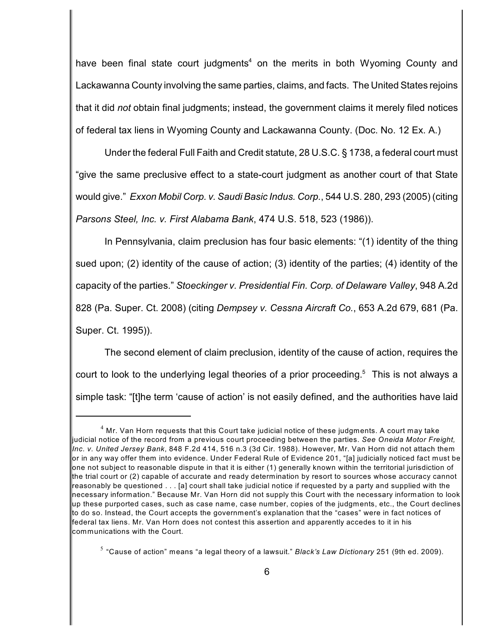have been final state court judgments<sup>4</sup> on the merits in both Wyoming County and Lackawanna County involving the same parties, claims, and facts. The United States rejoins that it did *not* obtain final judgments; instead, the government claims it merely filed notices of federal tax liens in Wyoming County and Lackawanna County. (Doc. No. 12 Ex. A.)

Under the federal Full Faith and Credit statute, 28 U.S.C. § 1738, a federal court must "give the same preclusive effect to a state-court judgment as another court of that State would give." *Exxon Mobil Corp. v. Saudi Basic Indus. Corp.*, 544 U.S. 280, 293 (2005) (citing *Parsons Steel, Inc. v. First Alabama Bank*, 474 U.S. 518, 523 (1986)).

In Pennsylvania, claim preclusion has four basic elements: "(1) identity of the thing sued upon; (2) identity of the cause of action; (3) identity of the parties; (4) identity of the capacity of the parties." *Stoeckinger v. Presidential Fin. Corp. of Delaware Valley*, 948 A.2d 828 (Pa. Super. Ct. 2008) (citing *Dempsey v. Cessna Aircraft Co.*, 653 A.2d 679, 681 (Pa. Super. Ct. 1995)).

The second element of claim preclusion, identity of the cause of action, requires the court to look to the underlying legal theories of a prior proceeding. $5$  This is not always a simple task: "[t]he term 'cause of action' is not easily defined, and the authorities have laid

 $^4$  Mr. Van Horn requests that this Court take judicial notice of these judgments. A court may take judicial notice of the record from a previous court proceeding between the parties. *See Oneida Motor Freight, Inc. v. United Jersey Bank*, 848 F.2d 414, 516 n.3 (3d Cir. 1988). However, Mr. Van Horn did not attach them or in any way offer them into evidence. Under Federal Rule of Evidence 201, "[a] judicially noticed fact must be one not subject to reasonable dispute in that it is either (1) generally known within the territorial jurisdiction of the trial court or (2) capable of accurate and ready determination by resort to sources whose accuracy cannot reasonably be questioned . . . [a] court shall take judicial notice if requested by a party and supplied with the necessary information." Because Mr. Van Horn did not supply this Court with the necessary information to look up these purported cases, such as case name, case number, copies of the judgments, etc., the Court declines to do so. Instead, the Court accepts the government's explanation that the "cases" were in fact notices of federal tax liens. Mr. Van Horn does not contest this assertion and apparently accedes to it in his communications with the Court.

<sup>&</sup>lt;sup>5</sup> "Cause of action" means "a legal theory of a lawsuit." *Black's Law Dictionary* 251 (9th ed. 2009).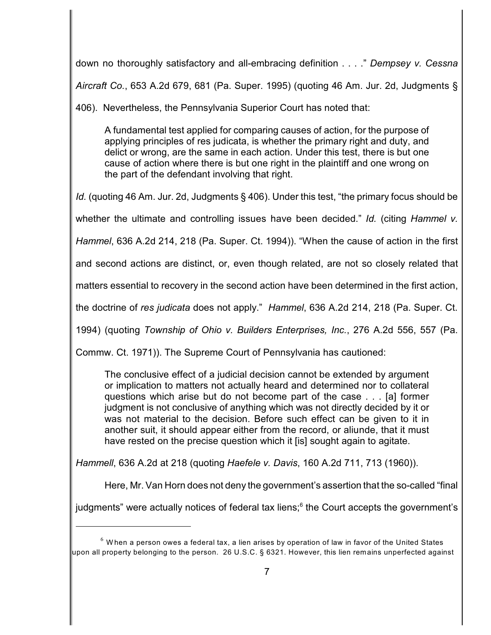down no thoroughly satisfactory and all-embracing definition . . . ." *Dempsey v. Cessna Aircraft Co.*, 653 A.2d 679, 681 (Pa. Super. 1995) (quoting 46 Am. Jur. 2d, Judgments §

406). Nevertheless, the Pennsylvania Superior Court has noted that:

A fundamental test applied for comparing causes of action, for the purpose of applying principles of res judicata, is whether the primary right and duty, and delict or wrong, are the same in each action. Under this test, there is but one cause of action where there is but one right in the plaintiff and one wrong on the part of the defendant involving that right.

*Id.* (quoting 46 Am. Jur. 2d, Judgments § 406). Under this test, "the primary focus should be

whether the ultimate and controlling issues have been decided." *Id.* (citing *Hammel v.*

*Hammel*, 636 A.2d 214, 218 (Pa. Super. Ct. 1994)). "When the cause of action in the first

and second actions are distinct, or, even though related, are not so closely related that

matters essential to recovery in the second action have been determined in the first action,

the doctrine of *res judicata* does not apply." *Hammel*, 636 A.2d 214, 218 (Pa. Super. Ct.

1994) (quoting *Township of Ohio v. Builders Enterprises, Inc.*, 276 A.2d 556, 557 (Pa.

Commw. Ct. 1971)). The Supreme Court of Pennsylvania has cautioned:

The conclusive effect of a judicial decision cannot be extended by argument or implication to matters not actually heard and determined nor to collateral questions which arise but do not become part of the case . . . [a] former judgment is not conclusive of anything which was not directly decided by it or was not material to the decision. Before such effect can be given to it in another suit, it should appear either from the record, or aliunde, that it must have rested on the precise question which it [is] sought again to agitate.

*Hammell*, 636 A.2d at 218 (quoting *Haefele v. Davis*, 160 A.2d 711, 713 (1960)).

Here, Mr. Van Horn does not deny the government's assertion that the so-called "final

judgments" were actually notices of federal tax liens;<sup>6</sup> the Court accepts the government's

 $^6$  When a person owes a federal tax, a lien arises by operation of law in favor of the United States upon all property belonging to the person. 26 U.S.C. § 6321. However, this lien remains unperfected against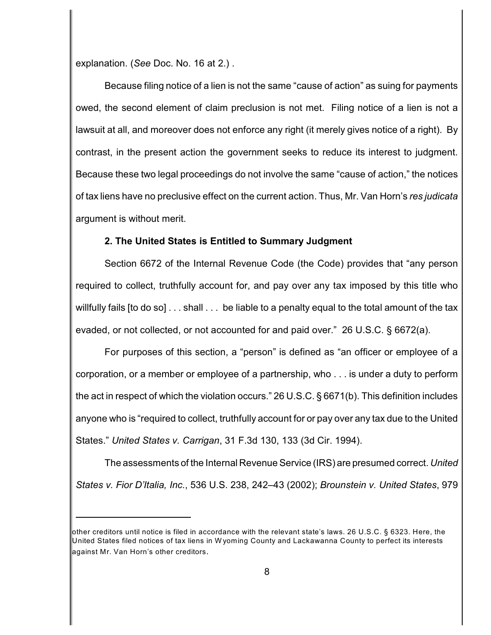explanation. (*See* Doc. No. 16 at 2.) .

Because filing notice of a lien is not the same "cause of action" as suing for payments owed, the second element of claim preclusion is not met. Filing notice of a lien is not a lawsuit at all, and moreover does not enforce any right (it merely gives notice of a right). By contrast, in the present action the government seeks to reduce its interest to judgment. Because these two legal proceedings do not involve the same "cause of action," the notices of tax liens have no preclusive effect on the current action. Thus, Mr. Van Horn's *res judicata* argument is without merit.

### **2. The United States is Entitled to Summary Judgment**

Section 6672 of the Internal Revenue Code (the Code) provides that "any person required to collect, truthfully account for, and pay over any tax imposed by this title who willfully fails [to do so] . . . shall . . . be liable to a penalty equal to the total amount of the tax evaded, or not collected, or not accounted for and paid over." 26 U.S.C. § 6672(a).

For purposes of this section, a "person" is defined as "an officer or employee of a corporation, or a member or employee of a partnership, who . . . is under a duty to perform the act in respect of which the violation occurs." 26 U.S.C. § 6671(b). This definition includes anyone who is "required to collect, truthfully account for or pay over any tax due to the United States." *United States v. Carrigan*, 31 F.3d 130, 133 (3d Cir. 1994).

The assessments of the Internal Revenue Service (IRS) are presumed correct. *United States v. Fior D'Italia, Inc.*, 536 U.S. 238, 242–43 (2002); *Brounstein v. United States*, 979

other creditors until notice is filed in accordance with the relevant state's laws. 26 U.S.C. § 6323. Here, the United States filed notices of tax liens in W yoming County and Lackawanna County to perfect its interests against Mr. Van Horn's other creditors.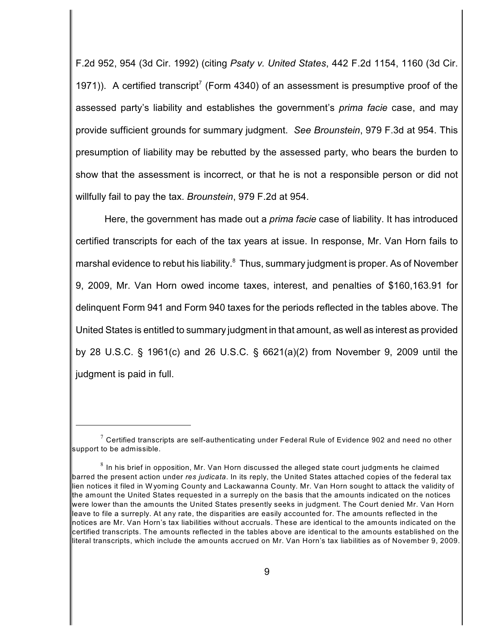F.2d 952, 954 (3d Cir. 1992) (citing *Psaty v. United States*, 442 F.2d 1154, 1160 (3d Cir. 1971)). A certified transcript<sup>7</sup> (Form 4340) of an assessment is presumptive proof of the assessed party's liability and establishes the government's *prima facie* case, and may provide sufficient grounds for summary judgment. *See Brounstein*, 979 F.3d at 954. This presumption of liability may be rebutted by the assessed party, who bears the burden to show that the assessment is incorrect, or that he is not a responsible person or did not willfully fail to pay the tax. *Brounstein*, 979 F.2d at 954.

Here, the government has made out a *prima facie* case of liability. It has introduced certified transcripts for each of the tax years at issue. In response, Mr. Van Horn fails to marshal evidence to rebut his liability.<sup>8</sup> Thus, summary judgment is proper. As of November 9, 2009, Mr. Van Horn owed income taxes, interest, and penalties of \$160,163.91 for delinquent Form 941 and Form 940 taxes for the periods reflected in the tables above. The United States is entitled to summary judgment in that amount, as well as interest as provided by 28 U.S.C. § 1961(c) and 26 U.S.C. § 6621(a)(2) from November 9, 2009 until the judgment is paid in full.

 $^7$  Certified transcripts are self-authenticating under Federal Rule of Evidence 902 and need no other support to be admissible.

 $^8$  In his brief in opposition, Mr. Van Horn discussed the alleged state court judgments he claimed barred the present action under *res judicata*. In its reply, the United States attached copies of the federal tax lien notices it filed in W yoming County and Lackawanna County. Mr. Van Horn sought to attack the validity of the amount the United States requested in a surreply on the basis that the amounts indicated on the notices were lower than the amounts the United States presently seeks in judgment. The Court denied Mr. Van Horn leave to file a surreply. At any rate, the disparities are easily accounted for. The amounts reflected in the notices are Mr. Van Horn's tax liabilities without accruals. These are identical to the amounts indicated on the certified transcripts. The amounts reflected in the tables above are identical to the amounts established on the literal transcripts, which include the amounts accrued on Mr. Van Horn's tax liabilities as of November 9, 2009.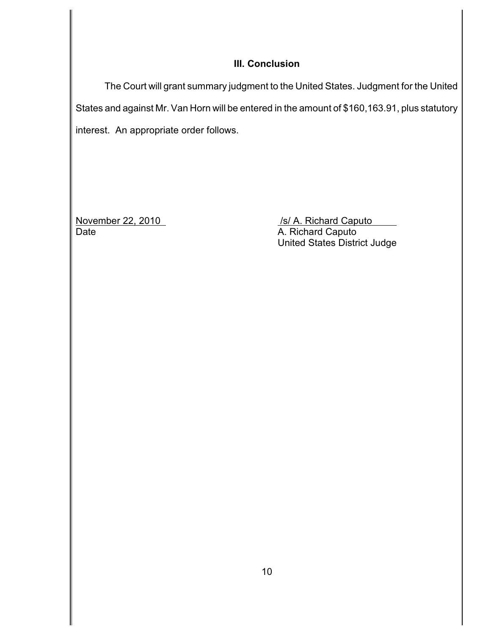## **III. Conclusion**

The Court will grant summary judgment to the United States. Judgment for the United States and against Mr. Van Horn will be entered in the amount of \$160,163.91, plus statutory interest. An appropriate order follows.

November 22, 2010<br>
Date *Mate Mate Mate Mate A. Richard Caputo* **<b>***A. Richard Caputo* A. Richard Caputo United States District Judge